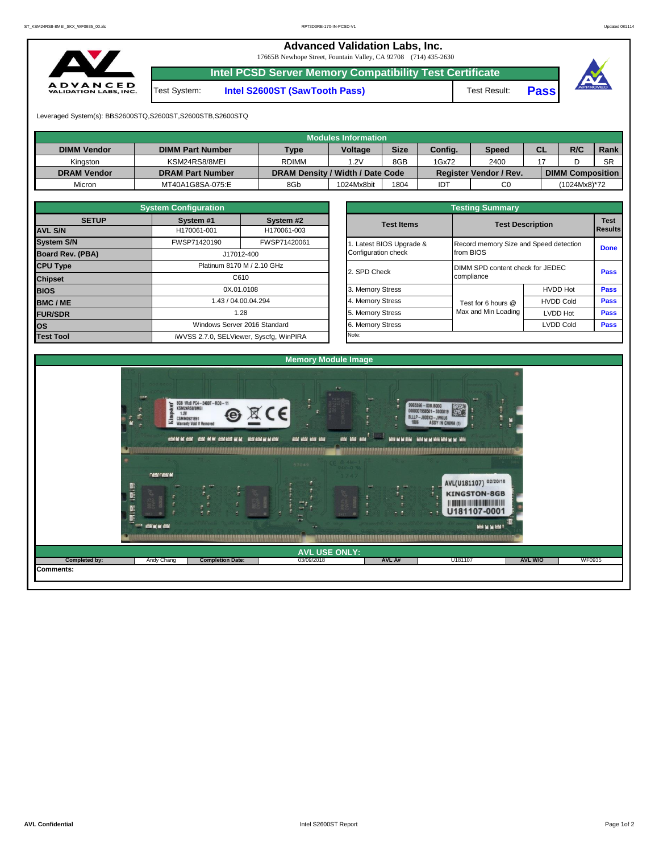**Advanced Validation Labs, Inc.** 

17665B Newhope Street, Fountain Valley, CA 92708 (714) 435-2630



**Intel PCSD Server Memory Compatibility Test Certificate**

Test System: **Intel S2600ST (SawTooth Pass)** Test Result: **Pass**





Leveraged System(s): BBS2600STQ,S2600ST,S2600STB,S2600STQ

|                    |                         |                                  | Modules Information |             |         |                               |    |                         |           |
|--------------------|-------------------------|----------------------------------|---------------------|-------------|---------|-------------------------------|----|-------------------------|-----------|
| <b>DIMM Vendor</b> | <b>DIMM Part Number</b> | <b>Type</b>                      | <b>Voltage</b>      | <b>Size</b> | Config. | <b>Speed</b>                  | СL | R/C                     | Rank      |
| Kinaston           | KSM24RS8/8MEI           | <b>RDIMM</b>                     | 1.2V                | 8GB         | 1Gx72   | 2400                          |    |                         | <b>SR</b> |
| <b>DRAM Vendor</b> | <b>DRAM Part Number</b> | DRAM Density / Width / Date Code |                     |             |         | <b>Register Vendor / Rev.</b> |    | <b>DIMM Composition</b> |           |
| Micron             | MT40A1G8SA-075:E        | 8Gb                              | 1024Mx8bit          | 1804        | IDT     | C <sub>0</sub>                |    | (1024Mx8)*72            |           |

|                         | <b>System Configuration</b> |                                         |  | <b>Testing Summary</b>   |                                  |                                        |             |  |  |  |  |  |
|-------------------------|-----------------------------|-----------------------------------------|--|--------------------------|----------------------------------|----------------------------------------|-------------|--|--|--|--|--|
| <b>SETUP</b>            | System #1                   | System #2                               |  | <b>Test Items</b>        |                                  | <b>Test Description</b>                |             |  |  |  |  |  |
| <b>AVL S/N</b>          | H170061-001                 | H170061-003                             |  |                          |                                  |                                        |             |  |  |  |  |  |
| <b>System S/N</b>       | FWSP71420190                | FWSP71420061                            |  | 1. Latest BIOS Upgrade & |                                  | Record memory Size and Speed detection |             |  |  |  |  |  |
| <b>Board Rev. (PBA)</b> | J17012-400                  |                                         |  | Configuration check      | from BIOS                        |                                        | <b>Done</b> |  |  |  |  |  |
| <b>CPU Type</b>         | Platinum 8170 M / 2.10 GHz  |                                         |  | 2. SPD Check             | DIMM SPD content check for JEDEC | Pass                                   |             |  |  |  |  |  |
| <b>Chipset</b>          | C610                        |                                         |  |                          | compliance                       |                                        |             |  |  |  |  |  |
| <b>BIOS</b>             |                             | 0X.01.0108                              |  | 3. Memory Stress         |                                  | <b>HVDD Hot</b>                        | Pass        |  |  |  |  |  |
| <b>BMC/ME</b>           |                             | 1.43 / 04.00.04.294                     |  | 4. Memory Stress         | Test for 6 hours @               | <b>HVDD Cold</b>                       | <b>Pass</b> |  |  |  |  |  |
| <b>FUR/SDR</b>          |                             | 1.28                                    |  | 5. Memory Stress         | Max and Min Loading              | <b>LVDD Hot</b>                        | <b>Pass</b> |  |  |  |  |  |
| los                     |                             | Windows Server 2016 Standard            |  | 6. Memory Stress         |                                  | LVDD Cold                              | <b>Pass</b> |  |  |  |  |  |
| <b>Test Tool</b>        |                             | iWVSS 2.7.0, SELViewer, Syscfq, WinPIRA |  | Note:                    |                                  |                                        |             |  |  |  |  |  |

|              | <b>System Configuration</b> |                                    |                       | <b>Testing Summary</b>                 |                  |                |
|--------------|-----------------------------|------------------------------------|-----------------------|----------------------------------------|------------------|----------------|
| <b>SETUP</b> | System #1                   | System #2                          | <b>Test Items</b>     | <b>Test Description</b>                | <b>Test</b>      |                |
|              | H170061-001                 | H170061-003                        |                       |                                        |                  | <b>Results</b> |
|              | FWSP71420190                | FWSP71420061                       | Latest BIOS Upgrade & | Record memory Size and Speed detection |                  |                |
| PBA)         |                             | J17012-400                         | Configuration check   | from BIOS                              |                  | <b>Done</b>    |
|              |                             | Platinum 8170 M / 2.10 GHz         |                       | DIMM SPD content check for JEDEC       |                  |                |
|              |                             | C610                               | 2. SPD Check          | compliance                             |                  | Pass           |
|              |                             | 0X.01.0108                         | 3. Memory Stress      |                                        | <b>HVDD Hot</b>  | <b>Pass</b>    |
|              |                             | 1.43 / 04.00.04.294                | 4. Memory Stress      | Test for 6 hours @                     | <b>HVDD Cold</b> | Pass           |
|              |                             | 5. Memory Stress<br>1.28           |                       | Max and Min Loading                    | LVDD Hot         | Pass           |
|              |                             | Windows Server 2016 Standard       | 6. Memory Stress      |                                        | <b>LVDD Cold</b> | <b>Pass</b>    |
|              |                             | iMVSS 270 SELViewer Svecta WinPIRA | Note:                 |                                        |                  |                |